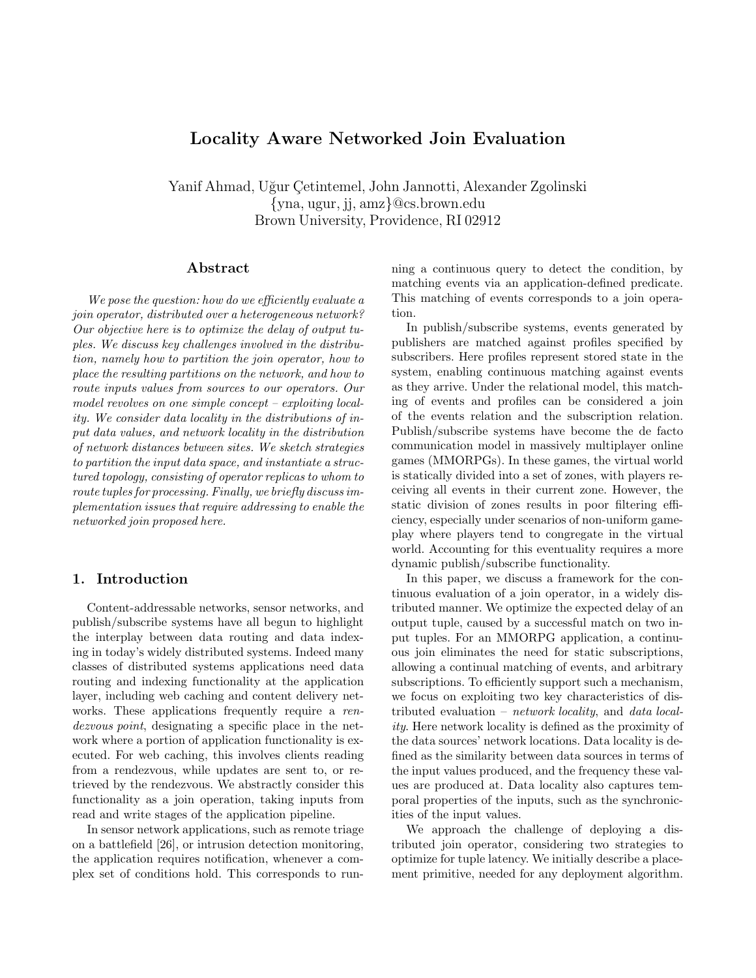# Locality Aware Networked Join Evaluation

Yanif Ahmad, Uğur Çetintemel, John Jannotti, Alexander Zgolinski {yna, ugur, jj, amz}@cs.brown.edu Brown University, Providence, RI 02912

#### Abstract

We pose the question: how do we efficiently evaluate a join operator, distributed over a heterogeneous network? Our objective here is to optimize the delay of output tuples. We discuss key challenges involved in the distribution, namely how to partition the join operator, how to place the resulting partitions on the network, and how to route inputs values from sources to our operators. Our model revolves on one simple concept – exploiting locality. We consider data locality in the distributions of input data values, and network locality in the distribution of network distances between sites. We sketch strategies to partition the input data space, and instantiate a structured topology, consisting of operator replicas to whom to route tuples for processing. Finally, we briefly discuss implementation issues that require addressing to enable the networked join proposed here.

#### 1. Introduction

Content-addressable networks, sensor networks, and publish/subscribe systems have all begun to highlight the interplay between data routing and data indexing in today's widely distributed systems. Indeed many classes of distributed systems applications need data routing and indexing functionality at the application layer, including web caching and content delivery networks. These applications frequently require a rendezvous point, designating a specific place in the network where a portion of application functionality is executed. For web caching, this involves clients reading from a rendezvous, while updates are sent to, or retrieved by the rendezvous. We abstractly consider this functionality as a join operation, taking inputs from read and write stages of the application pipeline.

In sensor network applications, such as remote triage on a battlefield [26], or intrusion detection monitoring, the application requires notification, whenever a complex set of conditions hold. This corresponds to running a continuous query to detect the condition, by matching events via an application-defined predicate. This matching of events corresponds to a join operation.

In publish/subscribe systems, events generated by publishers are matched against profiles specified by subscribers. Here profiles represent stored state in the system, enabling continuous matching against events as they arrive. Under the relational model, this matching of events and profiles can be considered a join of the events relation and the subscription relation. Publish/subscribe systems have become the de facto communication model in massively multiplayer online games (MMORPGs). In these games, the virtual world is statically divided into a set of zones, with players receiving all events in their current zone. However, the static division of zones results in poor filtering efficiency, especially under scenarios of non-uniform gameplay where players tend to congregate in the virtual world. Accounting for this eventuality requires a more dynamic publish/subscribe functionality.

In this paper, we discuss a framework for the continuous evaluation of a join operator, in a widely distributed manner. We optimize the expected delay of an output tuple, caused by a successful match on two input tuples. For an MMORPG application, a continuous join eliminates the need for static subscriptions, allowing a continual matching of events, and arbitrary subscriptions. To efficiently support such a mechanism, we focus on exploiting two key characteristics of distributed evaluation – network locality, and data locality. Here network locality is defined as the proximity of the data sources' network locations. Data locality is defined as the similarity between data sources in terms of the input values produced, and the frequency these values are produced at. Data locality also captures temporal properties of the inputs, such as the synchronicities of the input values.

We approach the challenge of deploying a distributed join operator, considering two strategies to optimize for tuple latency. We initially describe a placement primitive, needed for any deployment algorithm.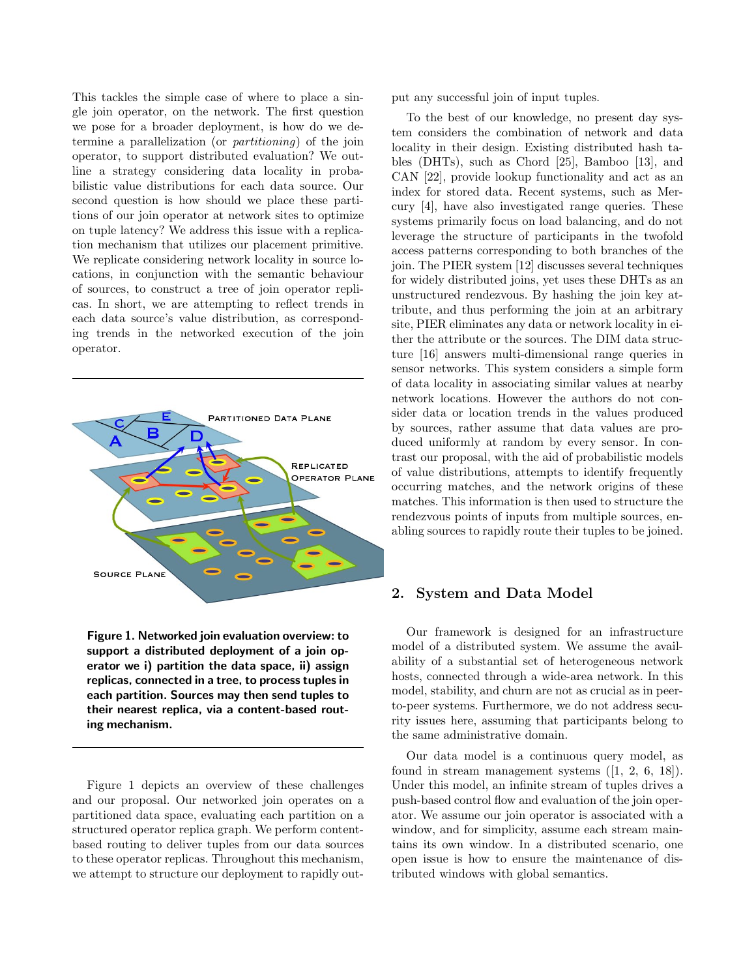This tackles the simple case of where to place a single join operator, on the network. The first question we pose for a broader deployment, is how do we determine a parallelization (or partitioning) of the join operator, to support distributed evaluation? We outline a strategy considering data locality in probabilistic value distributions for each data source. Our second question is how should we place these partitions of our join operator at network sites to optimize on tuple latency? We address this issue with a replication mechanism that utilizes our placement primitive. We replicate considering network locality in source locations, in conjunction with the semantic behaviour of sources, to construct a tree of join operator replicas. In short, we are attempting to reflect trends in each data source's value distribution, as corresponding trends in the networked execution of the join operator.



Figure 1. Networked join evaluation overview: to support a distributed deployment of a join operator we i) partition the data space, ii) assign replicas, connected in a tree, to process tuples in each partition. Sources may then send tuples to their nearest replica, via a content-based routing mechanism.

Figure 1 depicts an overview of these challenges and our proposal. Our networked join operates on a partitioned data space, evaluating each partition on a structured operator replica graph. We perform contentbased routing to deliver tuples from our data sources to these operator replicas. Throughout this mechanism, we attempt to structure our deployment to rapidly output any successful join of input tuples.

To the best of our knowledge, no present day system considers the combination of network and data locality in their design. Existing distributed hash tables (DHTs), such as Chord [25], Bamboo [13], and CAN [22], provide lookup functionality and act as an index for stored data. Recent systems, such as Mercury [4], have also investigated range queries. These systems primarily focus on load balancing, and do not leverage the structure of participants in the twofold access patterns corresponding to both branches of the join. The PIER system [12] discusses several techniques for widely distributed joins, yet uses these DHTs as an unstructured rendezvous. By hashing the join key attribute, and thus performing the join at an arbitrary site, PIER eliminates any data or network locality in either the attribute or the sources. The DIM data structure [16] answers multi-dimensional range queries in sensor networks. This system considers a simple form of data locality in associating similar values at nearby network locations. However the authors do not consider data or location trends in the values produced by sources, rather assume that data values are produced uniformly at random by every sensor. In contrast our proposal, with the aid of probabilistic models of value distributions, attempts to identify frequently occurring matches, and the network origins of these matches. This information is then used to structure the rendezvous points of inputs from multiple sources, enabling sources to rapidly route their tuples to be joined.

## 2. System and Data Model

Our framework is designed for an infrastructure model of a distributed system. We assume the availability of a substantial set of heterogeneous network hosts, connected through a wide-area network. In this model, stability, and churn are not as crucial as in peerto-peer systems. Furthermore, we do not address security issues here, assuming that participants belong to the same administrative domain.

Our data model is a continuous query model, as found in stream management systems ([1, 2, 6, 18]). Under this model, an infinite stream of tuples drives a push-based control flow and evaluation of the join operator. We assume our join operator is associated with a window, and for simplicity, assume each stream maintains its own window. In a distributed scenario, one open issue is how to ensure the maintenance of distributed windows with global semantics.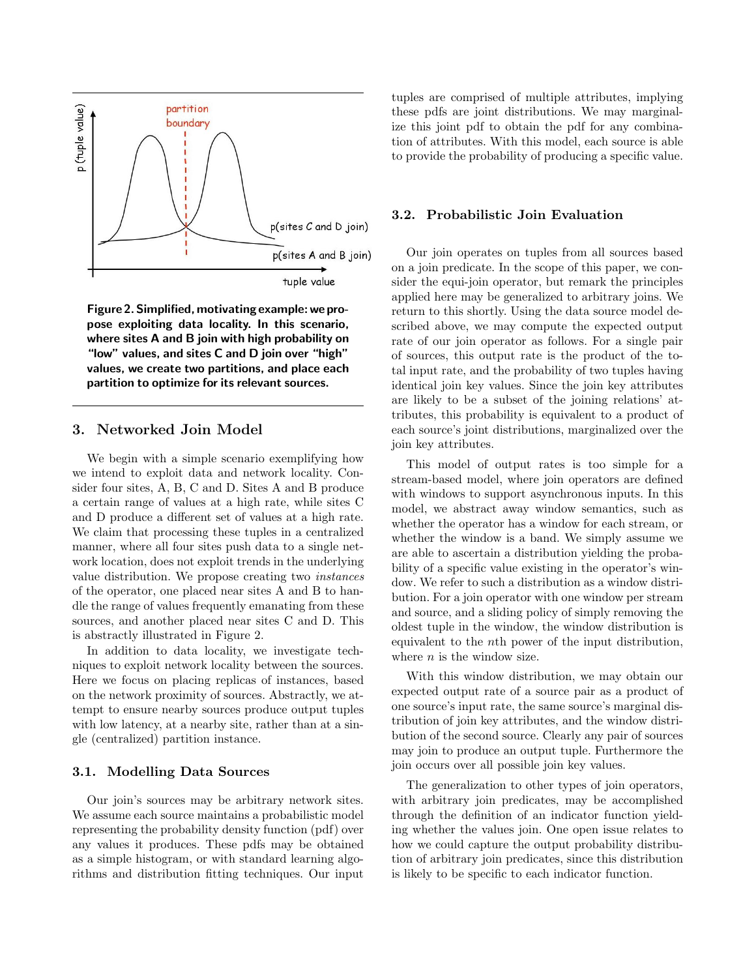

Figure 2. Simplified, motivating example: we propose exploiting data locality. In this scenario, where sites A and B join with high probability on "low" values, and sites C and D join over "high" values, we create two partitions, and place each partition to optimize for its relevant sources.

## 3. Networked Join Model

We begin with a simple scenario exemplifying how we intend to exploit data and network locality. Consider four sites, A, B, C and D. Sites A and B produce a certain range of values at a high rate, while sites C and D produce a different set of values at a high rate. We claim that processing these tuples in a centralized manner, where all four sites push data to a single network location, does not exploit trends in the underlying value distribution. We propose creating two instances of the operator, one placed near sites A and B to handle the range of values frequently emanating from these sources, and another placed near sites C and D. This is abstractly illustrated in Figure 2.

In addition to data locality, we investigate techniques to exploit network locality between the sources. Here we focus on placing replicas of instances, based on the network proximity of sources. Abstractly, we attempt to ensure nearby sources produce output tuples with low latency, at a nearby site, rather than at a single (centralized) partition instance.

#### 3.1. Modelling Data Sources

Our join's sources may be arbitrary network sites. We assume each source maintains a probabilistic model representing the probability density function (pdf) over any values it produces. These pdfs may be obtained as a simple histogram, or with standard learning algorithms and distribution fitting techniques. Our input

tuples are comprised of multiple attributes, implying these pdfs are joint distributions. We may marginalize this joint pdf to obtain the pdf for any combination of attributes. With this model, each source is able to provide the probability of producing a specific value.

#### 3.2. Probabilistic Join Evaluation

Our join operates on tuples from all sources based on a join predicate. In the scope of this paper, we consider the equi-join operator, but remark the principles applied here may be generalized to arbitrary joins. We return to this shortly. Using the data source model described above, we may compute the expected output rate of our join operator as follows. For a single pair of sources, this output rate is the product of the total input rate, and the probability of two tuples having identical join key values. Since the join key attributes are likely to be a subset of the joining relations' attributes, this probability is equivalent to a product of each source's joint distributions, marginalized over the join key attributes.

This model of output rates is too simple for a stream-based model, where join operators are defined with windows to support asynchronous inputs. In this model, we abstract away window semantics, such as whether the operator has a window for each stream, or whether the window is a band. We simply assume we are able to ascertain a distribution yielding the probability of a specific value existing in the operator's window. We refer to such a distribution as a window distribution. For a join operator with one window per stream and source, and a sliding policy of simply removing the oldest tuple in the window, the window distribution is equivalent to the nth power of the input distribution, where  $n$  is the window size.

With this window distribution, we may obtain our expected output rate of a source pair as a product of one source's input rate, the same source's marginal distribution of join key attributes, and the window distribution of the second source. Clearly any pair of sources may join to produce an output tuple. Furthermore the join occurs over all possible join key values.

The generalization to other types of join operators, with arbitrary join predicates, may be accomplished through the definition of an indicator function yielding whether the values join. One open issue relates to how we could capture the output probability distribution of arbitrary join predicates, since this distribution is likely to be specific to each indicator function.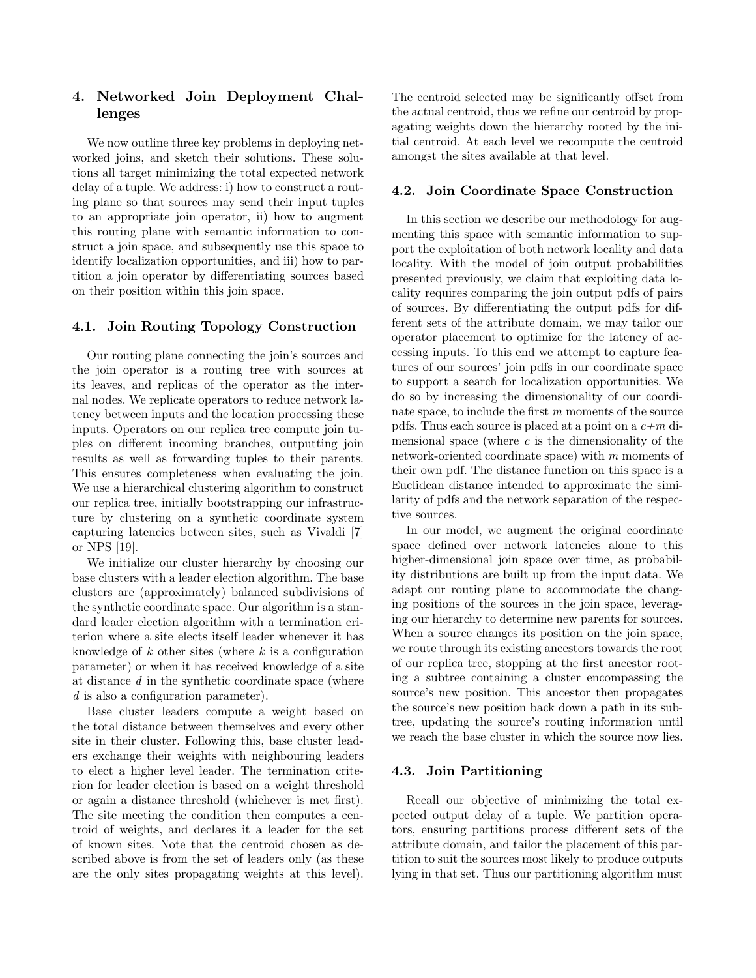## 4. Networked Join Deployment Challenges

We now outline three key problems in deploying networked joins, and sketch their solutions. These solutions all target minimizing the total expected network delay of a tuple. We address: i) how to construct a routing plane so that sources may send their input tuples to an appropriate join operator, ii) how to augment this routing plane with semantic information to construct a join space, and subsequently use this space to identify localization opportunities, and iii) how to partition a join operator by differentiating sources based on their position within this join space.

#### 4.1. Join Routing Topology Construction

Our routing plane connecting the join's sources and the join operator is a routing tree with sources at its leaves, and replicas of the operator as the internal nodes. We replicate operators to reduce network latency between inputs and the location processing these inputs. Operators on our replica tree compute join tuples on different incoming branches, outputting join results as well as forwarding tuples to their parents. This ensures completeness when evaluating the join. We use a hierarchical clustering algorithm to construct our replica tree, initially bootstrapping our infrastructure by clustering on a synthetic coordinate system capturing latencies between sites, such as Vivaldi [7] or NPS [19].

We initialize our cluster hierarchy by choosing our base clusters with a leader election algorithm. The base clusters are (approximately) balanced subdivisions of the synthetic coordinate space. Our algorithm is a standard leader election algorithm with a termination criterion where a site elects itself leader whenever it has knowledge of  $k$  other sites (where  $k$  is a configuration parameter) or when it has received knowledge of a site at distance d in the synthetic coordinate space (where d is also a configuration parameter).

Base cluster leaders compute a weight based on the total distance between themselves and every other site in their cluster. Following this, base cluster leaders exchange their weights with neighbouring leaders to elect a higher level leader. The termination criterion for leader election is based on a weight threshold or again a distance threshold (whichever is met first). The site meeting the condition then computes a centroid of weights, and declares it a leader for the set of known sites. Note that the centroid chosen as described above is from the set of leaders only (as these are the only sites propagating weights at this level).

The centroid selected may be significantly offset from the actual centroid, thus we refine our centroid by propagating weights down the hierarchy rooted by the initial centroid. At each level we recompute the centroid amongst the sites available at that level.

#### 4.2. Join Coordinate Space Construction

In this section we describe our methodology for augmenting this space with semantic information to support the exploitation of both network locality and data locality. With the model of join output probabilities presented previously, we claim that exploiting data locality requires comparing the join output pdfs of pairs of sources. By differentiating the output pdfs for different sets of the attribute domain, we may tailor our operator placement to optimize for the latency of accessing inputs. To this end we attempt to capture features of our sources' join pdfs in our coordinate space to support a search for localization opportunities. We do so by increasing the dimensionality of our coordinate space, to include the first m moments of the source pdfs. Thus each source is placed at a point on a  $c+m$  dimensional space (where  $c$  is the dimensionality of the network-oriented coordinate space) with m moments of their own pdf. The distance function on this space is a Euclidean distance intended to approximate the similarity of pdfs and the network separation of the respective sources.

In our model, we augment the original coordinate space defined over network latencies alone to this higher-dimensional join space over time, as probability distributions are built up from the input data. We adapt our routing plane to accommodate the changing positions of the sources in the join space, leveraging our hierarchy to determine new parents for sources. When a source changes its position on the join space, we route through its existing ancestors towards the root of our replica tree, stopping at the first ancestor rooting a subtree containing a cluster encompassing the source's new position. This ancestor then propagates the source's new position back down a path in its subtree, updating the source's routing information until we reach the base cluster in which the source now lies.

### 4.3. Join Partitioning

Recall our objective of minimizing the total expected output delay of a tuple. We partition operators, ensuring partitions process different sets of the attribute domain, and tailor the placement of this partition to suit the sources most likely to produce outputs lying in that set. Thus our partitioning algorithm must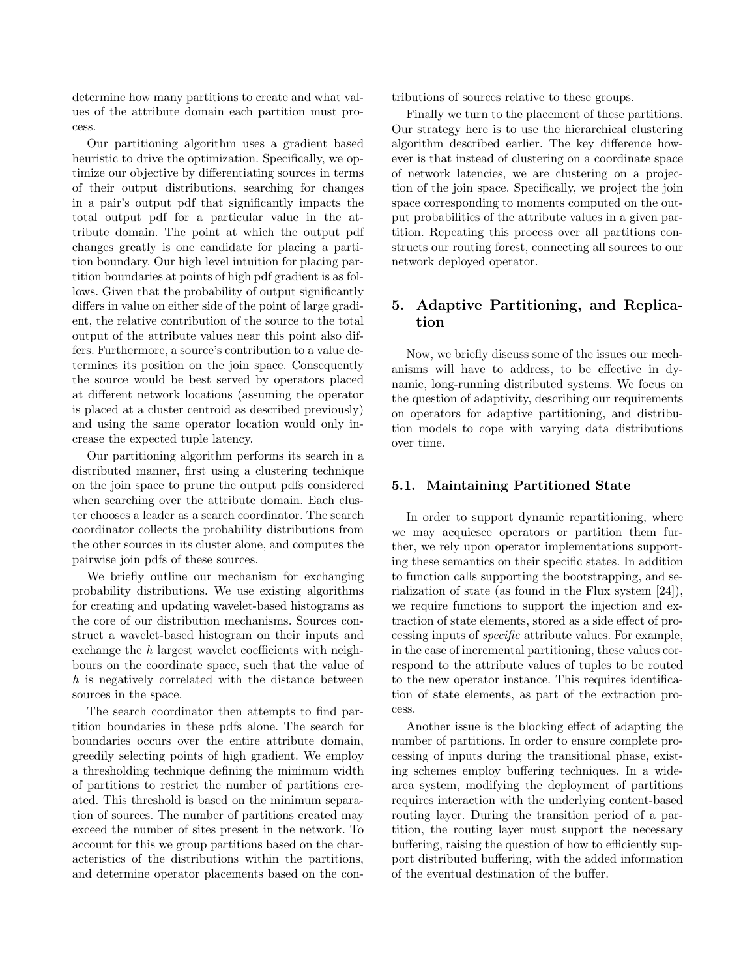determine how many partitions to create and what values of the attribute domain each partition must process.

Our partitioning algorithm uses a gradient based heuristic to drive the optimization. Specifically, we optimize our objective by differentiating sources in terms of their output distributions, searching for changes in a pair's output pdf that significantly impacts the total output pdf for a particular value in the attribute domain. The point at which the output pdf changes greatly is one candidate for placing a partition boundary. Our high level intuition for placing partition boundaries at points of high pdf gradient is as follows. Given that the probability of output significantly differs in value on either side of the point of large gradient, the relative contribution of the source to the total output of the attribute values near this point also differs. Furthermore, a source's contribution to a value determines its position on the join space. Consequently the source would be best served by operators placed at different network locations (assuming the operator is placed at a cluster centroid as described previously) and using the same operator location would only increase the expected tuple latency.

Our partitioning algorithm performs its search in a distributed manner, first using a clustering technique on the join space to prune the output pdfs considered when searching over the attribute domain. Each cluster chooses a leader as a search coordinator. The search coordinator collects the probability distributions from the other sources in its cluster alone, and computes the pairwise join pdfs of these sources.

We briefly outline our mechanism for exchanging probability distributions. We use existing algorithms for creating and updating wavelet-based histograms as the core of our distribution mechanisms. Sources construct a wavelet-based histogram on their inputs and exchange the h largest wavelet coefficients with neighbours on the coordinate space, such that the value of h is negatively correlated with the distance between sources in the space.

The search coordinator then attempts to find partition boundaries in these pdfs alone. The search for boundaries occurs over the entire attribute domain, greedily selecting points of high gradient. We employ a thresholding technique defining the minimum width of partitions to restrict the number of partitions created. This threshold is based on the minimum separation of sources. The number of partitions created may exceed the number of sites present in the network. To account for this we group partitions based on the characteristics of the distributions within the partitions, and determine operator placements based on the contributions of sources relative to these groups.

Finally we turn to the placement of these partitions. Our strategy here is to use the hierarchical clustering algorithm described earlier. The key difference however is that instead of clustering on a coordinate space of network latencies, we are clustering on a projection of the join space. Specifically, we project the join space corresponding to moments computed on the output probabilities of the attribute values in a given partition. Repeating this process over all partitions constructs our routing forest, connecting all sources to our network deployed operator.

## 5. Adaptive Partitioning, and Replication

Now, we briefly discuss some of the issues our mechanisms will have to address, to be effective in dynamic, long-running distributed systems. We focus on the question of adaptivity, describing our requirements on operators for adaptive partitioning, and distribution models to cope with varying data distributions over time.

#### 5.1. Maintaining Partitioned State

In order to support dynamic repartitioning, where we may acquiesce operators or partition them further, we rely upon operator implementations supporting these semantics on their specific states. In addition to function calls supporting the bootstrapping, and serialization of state (as found in the Flux system [24]), we require functions to support the injection and extraction of state elements, stored as a side effect of processing inputs of specific attribute values. For example, in the case of incremental partitioning, these values correspond to the attribute values of tuples to be routed to the new operator instance. This requires identification of state elements, as part of the extraction process.

Another issue is the blocking effect of adapting the number of partitions. In order to ensure complete processing of inputs during the transitional phase, existing schemes employ buffering techniques. In a widearea system, modifying the deployment of partitions requires interaction with the underlying content-based routing layer. During the transition period of a partition, the routing layer must support the necessary buffering, raising the question of how to efficiently support distributed buffering, with the added information of the eventual destination of the buffer.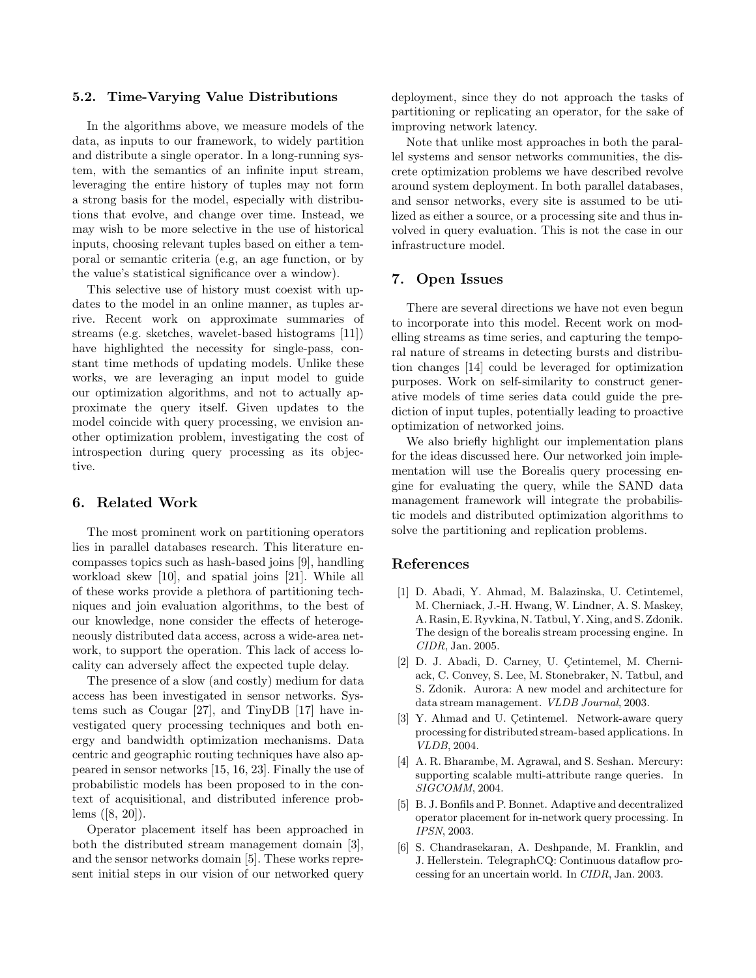#### 5.2. Time-Varying Value Distributions

In the algorithms above, we measure models of the data, as inputs to our framework, to widely partition and distribute a single operator. In a long-running system, with the semantics of an infinite input stream, leveraging the entire history of tuples may not form a strong basis for the model, especially with distributions that evolve, and change over time. Instead, we may wish to be more selective in the use of historical inputs, choosing relevant tuples based on either a temporal or semantic criteria (e.g, an age function, or by the value's statistical significance over a window).

This selective use of history must coexist with updates to the model in an online manner, as tuples arrive. Recent work on approximate summaries of streams (e.g. sketches, wavelet-based histograms [11]) have highlighted the necessity for single-pass, constant time methods of updating models. Unlike these works, we are leveraging an input model to guide our optimization algorithms, and not to actually approximate the query itself. Given updates to the model coincide with query processing, we envision another optimization problem, investigating the cost of introspection during query processing as its objective.

## 6. Related Work

The most prominent work on partitioning operators lies in parallel databases research. This literature encompasses topics such as hash-based joins [9], handling workload skew [10], and spatial joins [21]. While all of these works provide a plethora of partitioning techniques and join evaluation algorithms, to the best of our knowledge, none consider the effects of heterogeneously distributed data access, across a wide-area network, to support the operation. This lack of access locality can adversely affect the expected tuple delay.

The presence of a slow (and costly) medium for data access has been investigated in sensor networks. Systems such as Cougar [27], and TinyDB [17] have investigated query processing techniques and both energy and bandwidth optimization mechanisms. Data centric and geographic routing techniques have also appeared in sensor networks [15, 16, 23]. Finally the use of probabilistic models has been proposed to in the context of acquisitional, and distributed inference problems ([8, 20]).

Operator placement itself has been approached in both the distributed stream management domain [3], and the sensor networks domain [5]. These works represent initial steps in our vision of our networked query

deployment, since they do not approach the tasks of partitioning or replicating an operator, for the sake of improving network latency.

Note that unlike most approaches in both the parallel systems and sensor networks communities, the discrete optimization problems we have described revolve around system deployment. In both parallel databases, and sensor networks, every site is assumed to be utilized as either a source, or a processing site and thus involved in query evaluation. This is not the case in our infrastructure model.

#### 7. Open Issues

There are several directions we have not even begun to incorporate into this model. Recent work on modelling streams as time series, and capturing the temporal nature of streams in detecting bursts and distribution changes [14] could be leveraged for optimization purposes. Work on self-similarity to construct generative models of time series data could guide the prediction of input tuples, potentially leading to proactive optimization of networked joins.

We also briefly highlight our implementation plans for the ideas discussed here. Our networked join implementation will use the Borealis query processing engine for evaluating the query, while the SAND data management framework will integrate the probabilistic models and distributed optimization algorithms to solve the partitioning and replication problems.

## References

- [1] D. Abadi, Y. Ahmad, M. Balazinska, U. Cetintemel, M. Cherniack, J.-H. Hwang, W. Lindner, A. S. Maskey, A. Rasin, E. Ryvkina, N. Tatbul, Y. Xing, and S. Zdonik. The design of the borealis stream processing engine. In CIDR, Jan. 2005.
- [2] D. J. Abadi, D. Carney, U. Cetintemel, M. Cherniack, C. Convey, S. Lee, M. Stonebraker, N. Tatbul, and S. Zdonik. Aurora: A new model and architecture for data stream management. VLDB Journal, 2003.
- [3] Y. Ahmad and U. Çetintemel. Network-aware query processing for distributed stream-based applications. In VLDB, 2004.
- [4] A. R. Bharambe, M. Agrawal, and S. Seshan. Mercury: supporting scalable multi-attribute range queries. In SIGCOMM, 2004.
- [5] B. J. Bonfils and P. Bonnet. Adaptive and decentralized operator placement for in-network query processing. In IPSN, 2003.
- [6] S. Chandrasekaran, A. Deshpande, M. Franklin, and J. Hellerstein. TelegraphCQ: Continuous dataflow processing for an uncertain world. In CIDR, Jan. 2003.